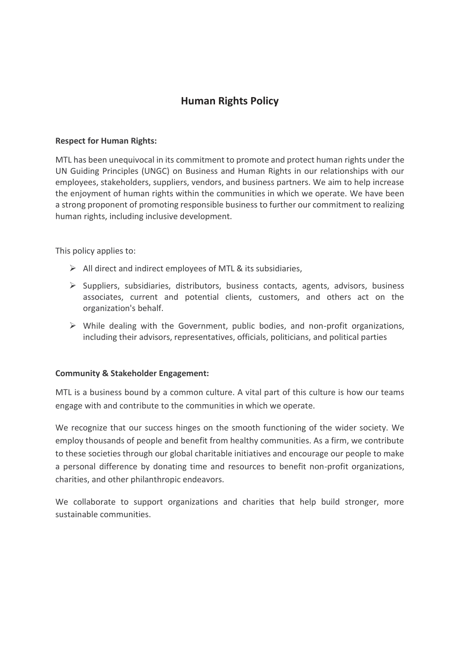# **Human Rights Policy**

#### **Respect for Human Rights:**

MTL has been unequivocal in its commitment to promote and protect human rights under the UN Guiding Principles (UNGC) on Business and Human Rights in our relationships with our employees, stakeholders, suppliers, vendors, and business partners. We aim to help increase the enjoyment of human rights within the communities in which we operate. We have been a strong proponent of promoting responsible business to further our commitment to realizing human rights, including inclusive development.

This policy applies to:

- $\triangleright$  All direct and indirect employees of MTL & its subsidiaries,
- ➢ Suppliers, subsidiaries, distributors, business contacts, agents, advisors, business associates, current and potential clients, customers, and others act on the organization's behalf.
- $\triangleright$  While dealing with the Government, public bodies, and non-profit organizations, including their advisors, representatives, officials, politicians, and political parties

#### **Community & Stakeholder Engagement:**

MTL is a business bound by a common culture. A vital part of this culture is how our teams engage with and contribute to the communities in which we operate.

We recognize that our success hinges on the smooth functioning of the wider society. We employ thousands of people and benefit from healthy communities. As a firm, we contribute to these societies through our global charitable initiatives and encourage our people to make a personal difference by donating time and resources to benefit non-profit organizations, charities, and other philanthropic endeavors.

We collaborate to support organizations and charities that help build stronger, more sustainable communities.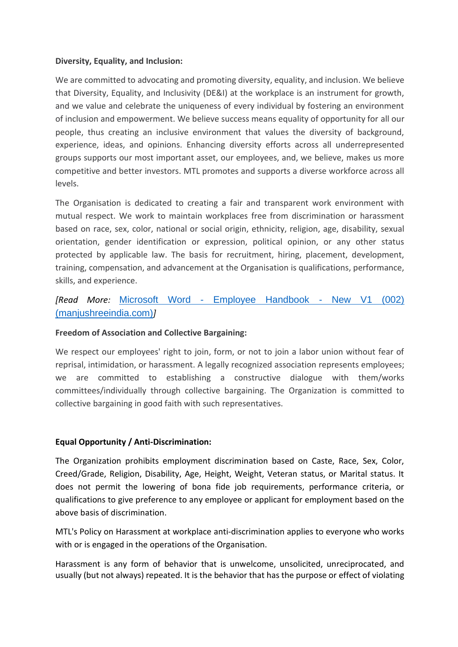#### **Diversity, Equality, and Inclusion:**

We are committed to advocating and promoting diversity, equality, and inclusion. We believe that Diversity, Equality, and Inclusivity (DE&I) at the workplace is an instrument for growth, and we value and celebrate the uniqueness of every individual by fostering an environment of inclusion and empowerment. We believe success means equality of opportunity for all our people, thus creating an inclusive environment that values the diversity of background, experience, ideas, and opinions. Enhancing diversity efforts across all underrepresented groups supports our most important asset, our employees, and, we believe, makes us more competitive and better investors. MTL promotes and supports a diverse workforce across all levels.

The Organisation is dedicated to creating a fair and transparent work environment with mutual respect. We work to maintain workplaces free from discrimination or harassment based on race, sex, color, national or social origin, ethnicity, religion, age, disability, sexual orientation, gender identification or expression, political opinion, or any other status protected by applicable law. The basis for recruitment, hiring, placement, development, training, compensation, and advancement at the Organisation is qualifications, performance, skills, and experience.

## *[Read More:* Microsoft Word - [Employee Handbook -](https://www.manjushreeindia.com/files/Equal%20Opportunity%20%20Anti%20Discrimination%20Policy.pdf) New V1 (002) [\(manjushreeindia.com\)](https://www.manjushreeindia.com/files/Equal%20Opportunity%20%20Anti%20Discrimination%20Policy.pdf)*]*

## **Freedom of Association and Collective Bargaining:**

We respect our employees' right to join, form, or not to join a labor union without fear of reprisal, intimidation, or harassment. A legally recognized association represents employees; we are committed to establishing a constructive dialogue with them/works committees/individually through collective bargaining. The Organization is committed to collective bargaining in good faith with such representatives.

## **Equal Opportunity / Anti-Discrimination:**

The Organization prohibits employment discrimination based on Caste, Race, Sex, Color, Creed/Grade, Religion, Disability, Age, Height, Weight, Veteran status, or Marital status. It does not permit the lowering of bona fide job requirements, performance criteria, or qualifications to give preference to any employee or applicant for employment based on the above basis of discrimination.

MTL's Policy on Harassment at workplace anti-discrimination applies to everyone who works with or is engaged in the operations of the Organisation.

Harassment is any form of behavior that is unwelcome, unsolicited, unreciprocated, and usually (but not always) repeated. It is the behavior that has the purpose or effect of violating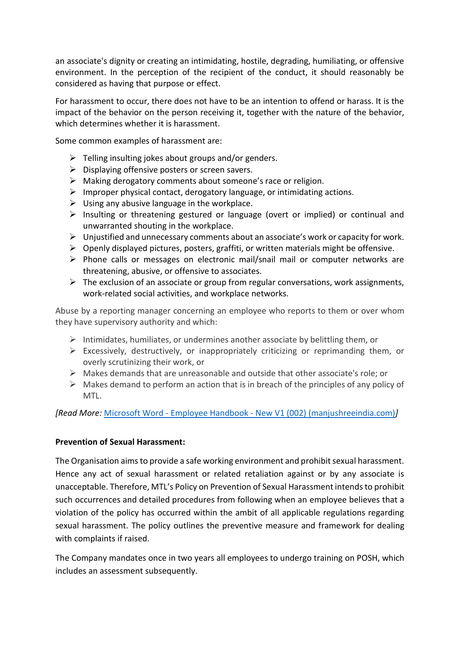an associate's dignity or creating an intimidating, hostile, degrading, humiliating, or offensive environment. In the perception of the recipient of the conduct, it should reasonably be considered as having that purpose or effect.

For harassment to occur, there does not have to be an intention to offend or harass. It is the impact of the behavior on the person receiving it, together with the nature of the behavior, which determines whether it is harassment.

Some common examples of harassment are:

- $\triangleright$  Telling insulting jokes about groups and/or genders.
- $\triangleright$  Displaying offensive posters or screen savers.
- ➢ Making derogatory comments about someone's race or religion.
- ➢ Improper physical contact, derogatory language, or intimidating actions.
- $\triangleright$  Using any abusive language in the workplace.
- ➢ Insulting or threatening gestured or language (overt or implied) or continual and unwarranted shouting in the workplace.
- ➢ Unjustified and unnecessary comments about an associate's work or capacity for work.
- ➢ Openly displayed pictures, posters, graffiti, or written materials might be offensive.
- ➢ Phone calls or messages on electronic mail/snail mail or computer networks are threatening, abusive, or offensive to associates.
- $\triangleright$  The exclusion of an associate or group from regular conversations, work assignments, work-related social activities, and workplace networks.

Abuse by a reporting manager concerning an employee who reports to them or over whom they have supervisory authority and which:

- ➢ Intimidates, humiliates, or undermines another associate by belittling them, or
- $\triangleright$  Excessively, destructively, or inappropriately criticizing or reprimanding them, or overly scrutinizing their work, or
- ➢ Makes demands that are unreasonable and outside that other associate's role; or
- $\triangleright$  Makes demand to perform an action that is in breach of the principles of any policy of MTL.

*[Read More:* Microsoft Word - Employee Handbook - [New V1 \(002\) \(manjushreeindia.com\)](https://www.manjushreeindia.com/files/Equal%20Opportunity%20%20Anti%20Discrimination%20Policy.pdf)*]*

#### **Prevention of Sexual Harassment:**

The Organisation aims to provide a safe working environment and prohibit sexual harassment. Hence any act of sexual harassment or related retaliation against or by any associate is unacceptable. Therefore, MTL's Policy on Prevention of Sexual Harassment intends to prohibit such occurrences and detailed procedures from following when an employee believes that a violation of the policy has occurred within the ambit of all applicable regulations regarding sexual harassment. The policy outlines the preventive measure and framework for dealing with complaints if raised.

The Company mandates once in two years all employees to undergo training on POSH, which includes an assessment subsequently.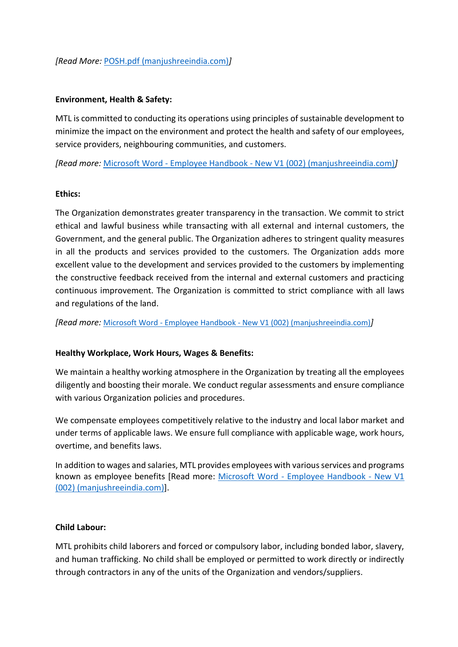## *[Read More:* [POSH.pdf \(manjushreeindia.com\)](https://www.manjushreeindia.com/files/POSH.pdf)*]*

## **Environment, Health & Safety:**

MTL is committed to conducting its operations using principles of sustainable development to minimize the impact on the environment and protect the health and safety of our employees, service providers, neighbouring communities, and customers.

*[Read more:* Microsoft Word - Employee Handbook - [New V1 \(002\) \(manjushreeindia.com\)](https://www.manjushreeindia.com/files/Environment,%20Health%20&%20Safety%20Policy%20(EHS).pdf)*]*

#### **Ethics:**

The Organization demonstrates greater transparency in the transaction. We commit to strict ethical and lawful business while transacting with all external and internal customers, the Government, and the general public. The Organization adheres to stringent quality measures in all the products and services provided to the customers. The Organization adds more excellent value to the development and services provided to the customers by implementing the constructive feedback received from the internal and external customers and practicing continuous improvement. The Organization is committed to strict compliance with all laws and regulations of the land.

*[Read more:* Microsoft Word - Employee Handbook - [New V1 \(002\) \(manjushreeindia.com\)](https://www.manjushreeindia.com/files/Ethical%20Policy.pdf)*]*

## **Healthy Workplace, Work Hours, Wages & Benefits:**

We maintain a healthy working atmosphere in the Organization by treating all the employees diligently and boosting their morale. We conduct regular assessments and ensure compliance with various Organization policies and procedures.

We compensate employees competitively relative to the industry and local labor market and under terms of applicable laws. We ensure full compliance with applicable wage, work hours, overtime, and benefits laws.

In addition to wages and salaries, MTL provides employees with various services and programs known as employee benefits [Read more: Microsoft Word - [Employee Handbook -](https://www.manjushreeindia.com/files/Employees%20Extended%20Benefits%20Policy.pdf) New V1 [\(002\) \(manjushreeindia.com\)\]](https://www.manjushreeindia.com/files/Employees%20Extended%20Benefits%20Policy.pdf).

#### **Child Labour:**

MTL prohibits child laborers and forced or compulsory labor, including bonded labor, slavery, and human trafficking. No child shall be employed or permitted to work directly or indirectly through contractors in any of the units of the Organization and vendors/suppliers.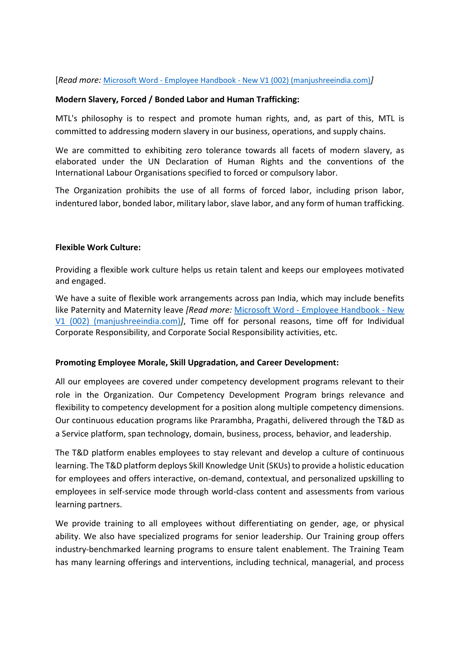[*Read more:* Microsoft Word - Employee Handbook - [New V1 \(002\) \(manjushreeindia.com\)](https://www.manjushreeindia.com/files/Child%20Labour%20Policy.pdf)*]*

## **Modern Slavery, Forced / Bonded Labor and Human Trafficking:**

MTL's philosophy is to respect and promote human rights, and, as part of this, MTL is committed to addressing modern slavery in our business, operations, and supply chains.

We are committed to exhibiting zero tolerance towards all facets of modern slavery, as elaborated under the UN Declaration of Human Rights and the conventions of the International Labour Organisations specified to forced or compulsory labor.

The Organization prohibits the use of all forms of forced labor, including prison labor, indentured labor, bonded labor, military labor, slave labor, and any form of human trafficking.

## **Flexible Work Culture:**

Providing a flexible work culture helps us retain talent and keeps our employees motivated and engaged.

We have a suite of flexible work arrangements across pan India, which may include benefits like Paternity and Maternity leave *[Read more:* Microsoft Word - [Employee Handbook -](https://www.manjushreeindia.com/files/Maternity%20&%20Paternity%20Benefit%20Policy.pdf) New [V1 \(002\) \(manjushreeindia.com\)](https://www.manjushreeindia.com/files/Maternity%20&%20Paternity%20Benefit%20Policy.pdf)*]*, Time off for personal reasons, time off for Individual Corporate Responsibility, and Corporate Social Responsibility activities, etc.

## **Promoting Employee Morale, Skill Upgradation, and Career Development:**

All our employees are covered under competency development programs relevant to their role in the Organization. Our Competency Development Program brings relevance and flexibility to competency development for a position along multiple competency dimensions. Our continuous education programs like Prarambha, Pragathi, delivered through the T&D as a Service platform, span technology, domain, business, process, behavior, and leadership.

The T&D platform enables employees to stay relevant and develop a culture of continuous learning. The T&D platform deploys Skill Knowledge Unit (SKUs) to provide a holistic education for employees and offers interactive, on-demand, contextual, and personalized upskilling to employees in self-service mode through world-class content and assessments from various learning partners.

We provide training to all employees without differentiating on gender, age, or physical ability. We also have specialized programs for senior leadership. Our Training group offers industry-benchmarked learning programs to ensure talent enablement. The Training Team has many learning offerings and interventions, including technical, managerial, and process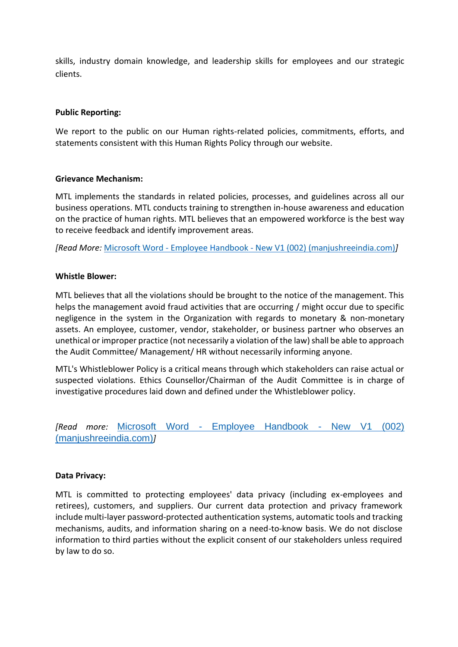skills, industry domain knowledge, and leadership skills for employees and our strategic clients.

#### **Public Reporting:**

We report to the public on our Human rights-related policies, commitments, efforts, and statements consistent with this Human Rights Policy through our website.

#### **Grievance Mechanism:**

MTL implements the standards in related policies, processes, and guidelines across all our business operations. MTL conducts training to strengthen in-house awareness and education on the practice of human rights. MTL believes that an empowered workforce is the best way to receive feedback and identify improvement areas.

*[Read More:* Microsoft Word - Employee Handbook - [New V1 \(002\) \(manjushreeindia.com\)](https://www.manjushreeindia.com/files/Grievance%20Policy.pdf)*]*

#### **Whistle Blower:**

MTL believes that all the violations should be brought to the notice of the management. This helps the management avoid fraud activities that are occurring / might occur due to specific negligence in the system in the Organization with regards to monetary & non-monetary assets. An employee, customer, vendor, stakeholder, or business partner who observes an unethical or improper practice (not necessarily a violation of the law) shall be able to approach the Audit Committee/ Management/ HR without necessarily informing anyone.

MTL's Whistleblower Policy is a critical means through which stakeholders can raise actual or suspected violations. Ethics Counsellor/Chairman of the Audit Committee is in charge of investigative procedures laid down and defined under the Whistleblower policy.

*[Read more:* Microsoft Word - [Employee Handbook -](https://www.manjushreeindia.com/files/Whistle%20Blower%20Policy.pdf) New V1 (002) [\(manjushreeindia.com\)](https://www.manjushreeindia.com/files/Whistle%20Blower%20Policy.pdf)*]*

#### **Data Privacy:**

MTL is committed to protecting employees' data privacy (including ex-employees and retirees), customers, and suppliers. Our current data protection and privacy framework include multi-layer password-protected authentication systems, automatic tools and tracking mechanisms, audits, and information sharing on a need-to-know basis. We do not disclose information to third parties without the explicit consent of our stakeholders unless required by law to do so.